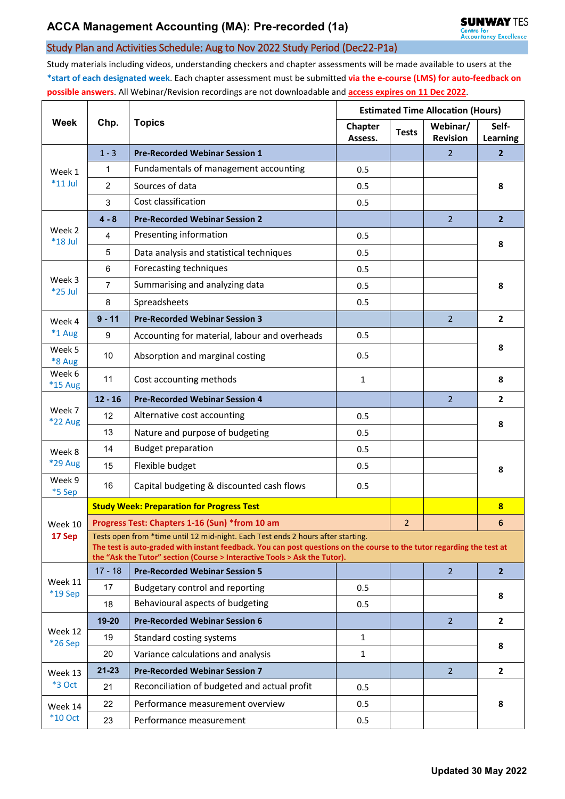## Study Plan and Activities Schedule: Aug to Nov 2022 Study Period (Dec22-P1a)

Study materials including videos, understanding checkers and chapter assessments will be made available to users at the **\*start of each designated week**. Each chapter assessment must be submitted **via the e-course (LMS) for auto-feedback on possible answers**. All Webinar/Revision recordings are not downloadable and **access expires on 11 Dec 2022**.

| Week                      | Chp.                                                                                                                                                                                                                                                                                    | <b>Topics</b>                                    | <b>Estimated Time Allocation (Hours)</b> |              |                             |                         |  |  |  |
|---------------------------|-----------------------------------------------------------------------------------------------------------------------------------------------------------------------------------------------------------------------------------------------------------------------------------------|--------------------------------------------------|------------------------------------------|--------------|-----------------------------|-------------------------|--|--|--|
|                           |                                                                                                                                                                                                                                                                                         |                                                  | Chapter<br>Assess.                       | <b>Tests</b> | Webinar/<br><b>Revision</b> | Self-<br>Learning       |  |  |  |
| Week 1<br>$*11$ Jul       | $1 - 3$                                                                                                                                                                                                                                                                                 | <b>Pre-Recorded Webinar Session 1</b>            |                                          |              | 2                           | $\overline{2}$          |  |  |  |
|                           | 1                                                                                                                                                                                                                                                                                       | Fundamentals of management accounting            | 0.5                                      |              |                             | 8                       |  |  |  |
|                           | $\overline{2}$                                                                                                                                                                                                                                                                          | Sources of data                                  | 0.5                                      |              |                             |                         |  |  |  |
|                           | 3                                                                                                                                                                                                                                                                                       | Cost classification                              | 0.5                                      |              |                             |                         |  |  |  |
| Week 2<br>*18 Jul         | $4 - 8$                                                                                                                                                                                                                                                                                 | <b>Pre-Recorded Webinar Session 2</b>            |                                          |              | $\overline{2}$              | $\overline{2}$          |  |  |  |
|                           | 4                                                                                                                                                                                                                                                                                       | Presenting information                           | 0.5                                      |              |                             | 8                       |  |  |  |
|                           | 5                                                                                                                                                                                                                                                                                       | Data analysis and statistical techniques         | 0.5                                      |              |                             |                         |  |  |  |
|                           | 6                                                                                                                                                                                                                                                                                       | Forecasting techniques                           | 0.5                                      |              |                             | 8                       |  |  |  |
| Week 3<br>*25 Jul         | $\overline{7}$                                                                                                                                                                                                                                                                          | Summarising and analyzing data                   | 0.5                                      |              |                             |                         |  |  |  |
|                           | 8                                                                                                                                                                                                                                                                                       | Spreadsheets                                     | 0.5                                      |              |                             |                         |  |  |  |
| Week 4                    | $9 - 11$                                                                                                                                                                                                                                                                                | <b>Pre-Recorded Webinar Session 3</b>            |                                          |              | 2 <sup>1</sup>              | $\mathbf{2}$            |  |  |  |
| *1 Aug                    | 9                                                                                                                                                                                                                                                                                       | Accounting for material, labour and overheads    | 0.5                                      |              |                             |                         |  |  |  |
| Week 5<br>*8 Aug          | 10                                                                                                                                                                                                                                                                                      | Absorption and marginal costing                  | 0.5                                      |              |                             | 8                       |  |  |  |
| Week 6<br><b>*15 Aug</b>  | 11                                                                                                                                                                                                                                                                                      | Cost accounting methods                          | $\mathbf{1}$                             |              |                             | 8                       |  |  |  |
|                           | $12 - 16$                                                                                                                                                                                                                                                                               | <b>Pre-Recorded Webinar Session 4</b>            |                                          |              | $\overline{2}$              | $\overline{2}$          |  |  |  |
| Week 7<br>*22 Aug         | 12                                                                                                                                                                                                                                                                                      | Alternative cost accounting                      | 0.5                                      |              |                             | 8                       |  |  |  |
|                           | 13                                                                                                                                                                                                                                                                                      | Nature and purpose of budgeting                  | 0.5                                      |              |                             |                         |  |  |  |
| Week 8                    | 14                                                                                                                                                                                                                                                                                      | <b>Budget preparation</b>                        | 0.5                                      |              |                             | 8                       |  |  |  |
| <b>*29 Aug</b>            | 15                                                                                                                                                                                                                                                                                      | Flexible budget                                  | 0.5                                      |              |                             |                         |  |  |  |
| Week 9<br>*5 Sep          | 16                                                                                                                                                                                                                                                                                      | Capital budgeting & discounted cash flows        | 0.5                                      |              |                             |                         |  |  |  |
|                           |                                                                                                                                                                                                                                                                                         | <b>Study Week: Preparation for Progress Test</b> |                                          |              |                             | $\overline{\mathbf{8}}$ |  |  |  |
| Week 10                   | Progress Test: Chapters 1-16 (Sun) *from 10 am                                                                                                                                                                                                                                          |                                                  |                                          |              |                             | 6                       |  |  |  |
| 17 Sep                    | Tests open from *time until 12 mid-night. Each Test ends 2 hours after starting.<br>The test is auto-graded with instant feedback. You can post questions on the course to the tutor regarding the test at<br>the "Ask the Tutor" section (Course > Interactive Tools > Ask the Tutor). |                                                  |                                          |              |                             |                         |  |  |  |
| Week 11<br>*19 Sep        | $17 - 18$                                                                                                                                                                                                                                                                               | <b>Pre-Recorded Webinar Session 5</b>            |                                          |              | $\overline{2}$              | 2 <sup>2</sup>          |  |  |  |
|                           | 17                                                                                                                                                                                                                                                                                      | Budgetary control and reporting                  | 0.5                                      |              |                             | 8                       |  |  |  |
|                           | 18                                                                                                                                                                                                                                                                                      | Behavioural aspects of budgeting                 | 0.5                                      |              |                             |                         |  |  |  |
|                           | $19 - 20$                                                                                                                                                                                                                                                                               | <b>Pre-Recorded Webinar Session 6</b>            |                                          |              | 2 <sup>1</sup>              | $\mathbf{2}$            |  |  |  |
| Week 12<br>*26 Sep        | 19                                                                                                                                                                                                                                                                                      | Standard costing systems                         | $\mathbf{1}$                             |              |                             | 8                       |  |  |  |
|                           | 20                                                                                                                                                                                                                                                                                      | Variance calculations and analysis               | 1                                        |              |                             |                         |  |  |  |
| Week 13<br>*3 Oct         | $21 - 23$                                                                                                                                                                                                                                                                               | <b>Pre-Recorded Webinar Session 7</b>            |                                          |              | $\overline{2}$              | $\overline{2}$          |  |  |  |
|                           | 21                                                                                                                                                                                                                                                                                      | Reconciliation of budgeted and actual profit     | 0.5                                      |              |                             | 8                       |  |  |  |
| Week 14<br><b>*10 Oct</b> | 22                                                                                                                                                                                                                                                                                      | Performance measurement overview                 | 0.5                                      |              |                             |                         |  |  |  |
|                           | 23                                                                                                                                                                                                                                                                                      | Performance measurement                          | 0.5                                      |              |                             |                         |  |  |  |